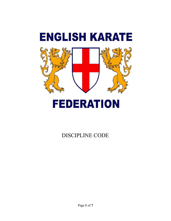

# DISCIPLINE CODE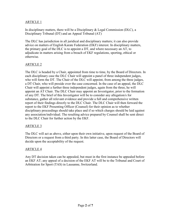In disciplinary matters, there will be a Disciplinary  $\&$  Legal Commission (DLC), a Disciplinary Tribunal (DT) and an Appeal Tribunal (AT)

The DLC has jurisdiction in all juridical and disciplinary matters; it can also provide advice on matters of English Karate Federation (EKF) interest. In disciplinary matters, the primary goal of the DLC is to appoint a DT, and where necessary an AT, to adjudicate in matters arising from a breach of EKF regulations, sporting, ethical or otherwise.

# ARTICLE 2

The DLC is headed by a Chair, appointed from time to time, by the Board of Directors. In each disciplinary case the DLC Chair will appoint a panel of three independent judges, who will form the DT. The Chair of the DLC will appoint, from among the three judges, a DT Chair, who will preside over the case concerned. In the case of an appeal, the DLC Chair will appoint a further three independent judges, again from the three, he will appoint an AT Chair. The DLC Chair may appoint an Investigator, prior to the formation of any DT. The brief of this Investigator will be to consider any allegation/s for substance, gather all relevant evidence and provide a full and comprehensive written report of their findings directly to the DLC Chair. The DLC Chair will then forward the report to the EKF Presenting Officer (Counsel) for their opinion as to whether disciplinary proceedings should take place and if so which charges should be laid against any association/individual. The resulting advice prepared by Counsel shall be sent direct to the DLC Chair for further action by the EKF.

# ARTICLE 3

The DLC will act as above, either upon their own initiative, upon request of the Board of Directors or a request from a third party. In this latter case, the Board of Directors will decide upon the acceptability of the request.

# ARTICLE 4

Any DT decision taken can be appealed, but must in the first instance be appealed before an EKF AT; any appeal of a decision of the EKF AT will be to the Tribunal and Court of Arbitration for Sport (TAS) in Lausanne, Switzerland.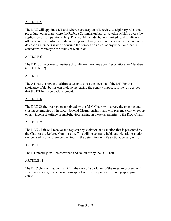The DLC will appoint a DT and where necessary an AT, review disciplinary rules and procedure, other than where the Referee Commission has jurisdiction (which covers the application of competition rules). This would include, but not limited to, disciplinary offences in relationship with the opening and closing ceremonies, incorrect behaviour of delegation members inside or outside the competition area, or any behaviour that is considered contrary to the ethics of Karate-do

#### ARTICLE 6

The DT has the power to institute disciplinary measures upon Associations, or Members (see Article 12).

#### ARTICLE 7

The AT has the power to affirm, alter or dismiss the decision of the DT. For the avoidance of doubt this can include increasing the penalty imposed, if the AT decides that the DT has been unduly lenient.

#### ARTICLE 8

The DLC Chair, or a person appointed by the DLC Chair, will survey the opening and closing ceremonies of the EKF National Championships, and will present a written report on any incorrect attitude or misbehaviour arising in these ceremonies to the DLC Chair.

#### ARTICLE 9

The DLC Chair will receive and register any violation and sanction that is presented by the Chair of the Referee Commission. This will be centrally held, any violation/sanction can be used in any future proceedings in the determination of sanctions/penalty only.

#### ARTICLE 10

The DT meetings will be convened and called for by the DT Chair.

#### ARTICLE 11

The DLC chair will appoint a DT in the case of a violation of the rules, to proceed with any investigation, interview or correspondence for the purpose of taking appropriate action.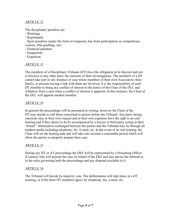The disciplinary penalties are

- Warnings
- Reprimands
- Sport penalties (under the form of temporary ban from participation in competitions,
- courses, Dan gradings, etc)
- Financial penalties
- Suspension
- Expulsion

# ARTICLE 13

The members of a Disciplinary Tribunal (DT) have the obligation to be discreet and not to disclose to any other party the outcome of their investigations. The members of a DT cannot take part in any instance or case where members of their own Association, their family, or persons having a link with them are involved. It is the responsibility of each DT member to bring any conflict of interest to the notice of the Chair of the DLC and withdraw from a case when a conflict of interest is apparent. In this instance, the Chair of the DLC will appoint another member.

# ARTICLE 14

In general the proceedings will be presented in writing; however the Chair of the DT may decide to call those concerned in person before the Tribunal. Any party facing sanctions may at their own request and at their own expenses have the right to an oral hearing and if they desire to do be accompanied by a lawyer or third party acting as their "friend". Information exchanged between the parties and the Tribunal may be through all modern media including telephone, fax. E-mail, etc. In the event of an oral hearing, the Chair will set the hearing date and will take into account a reasonable period which will allow the parties to properly prepare their case.

# ARTICLE 15

During any DT or AT proceedings the EKF will be represented by a Presenting Officer (Counsel) who will present the case on behalf of the EKF and also advise the tribunal as to the rules governing both the proceedings and any disposal available to it.

# ARTICLE 16

The Tribunal will decide by majority vote. The deliberations will take place at a DT meeting, or if the three DT members agree, by telephone, fax, e-mail, etc.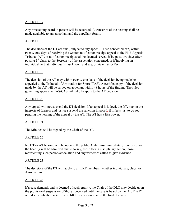Any proceeding heard in person will be recorded. A transcript of the hearing shall be made available to any appellant and the appellant forum.

#### ARTICLE 18

The decisions of the DT are final, subject to any appeal. Those concerned can, within twenty-one days of receiving the written notification receipt, appeal to the EKF Appeals Tribunal (AT). A notification receipt shall be deemed served, if by post, two days after posting 1<sup>st</sup> class, to the Secretary of the association concerned, or if involving an individual, to that individual's last known address, or via email or fax

#### ARTICLE 19

The decision of the AT may within twenty one days of the decision being made be appealed to the Tribunal of Arbitration for Sport (TAS). A certified copy of the decision made by the AT will be served on appellant within 48 hours of the finding. The rules governing appeals to TAS/CAS will wholly apply to the AT decision.

#### ARTICLE 20

Any appeal will not suspend the DT decision. If an appeal is lodged, the DT, may in the interests of fairness and justice suspend the sanction imposed, if it feels just to do so, pending the hearing of the appeal by the AT. The AT has a like power.

#### ARTICLE 21

The Minutes will be signed by the Chair of the DT.

#### ARTICLE 22

No DT or AT hearing will be open to the public. Only those immediately connected with the hearing will be admitted, that is to say, those facing disciplinary action, those representing such person/association and any witnesses called to give evidence.

#### ARTICLE 23

The decisions of the DT will apply to all EKF members, whether individuals, clubs, or Associations.

#### ARTICLE 24

If a case demands and is deemed of such gravity, the Chair of the DLC may decide upon the provisional suspension of those concerned until the case is heard by the DT. The DT will decide whether to keep or to lift this suspension until the final decision.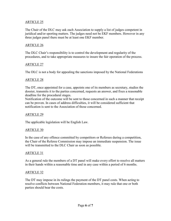The Chair of the DLC may ask each Association to supply a list of judges competent in juridical and/or sporting matters. The judges need not be EKF members. However in any three judges panel there must be at least one EKF member.

#### ARTICLE 26

The DLC Chair's responsibility is to control the development and regularity of the procedures, and to take appropriate measures to insure the fair operation of the process.

# ARTICLE 27

The DLC is not a body for appealing the sanctions imposed by the National Federations

#### ARTICLE 28

The DT, once appointed for a case, appoints one of its members as secretary, studies the dossier, transmits it to the parties concerned, requests an answer, and fixes a reasonable deadline for the procedural stages.

Notification of the outcome will be sent to those concerned in such a manner that receipt can be proven. In cases of address difficulties, it will be considered sufficient that notification is sent to the Association of those concerned.

#### ARTICLE 29

The applicable legislation will be English Law.

#### ARTICLE 30

In the case of any offence committed by competitors or Referees during a competition, the Chair of the Referee Commission may impose an immediate suspension. The issue will be transmitted to the DLC Chair as soon as possible.

#### ARTICLE 31

As a general rule the members of a DT panel will make every effort to resolve all matters in their hands within a reasonable time and in any case within a period of 6 months.

#### ARTICLE 32

The DT may impose in its rulings the payment of the DT panel costs. When acting to resolve conflicts between National Federation members, it may rule that one or both parties should bear the costs.